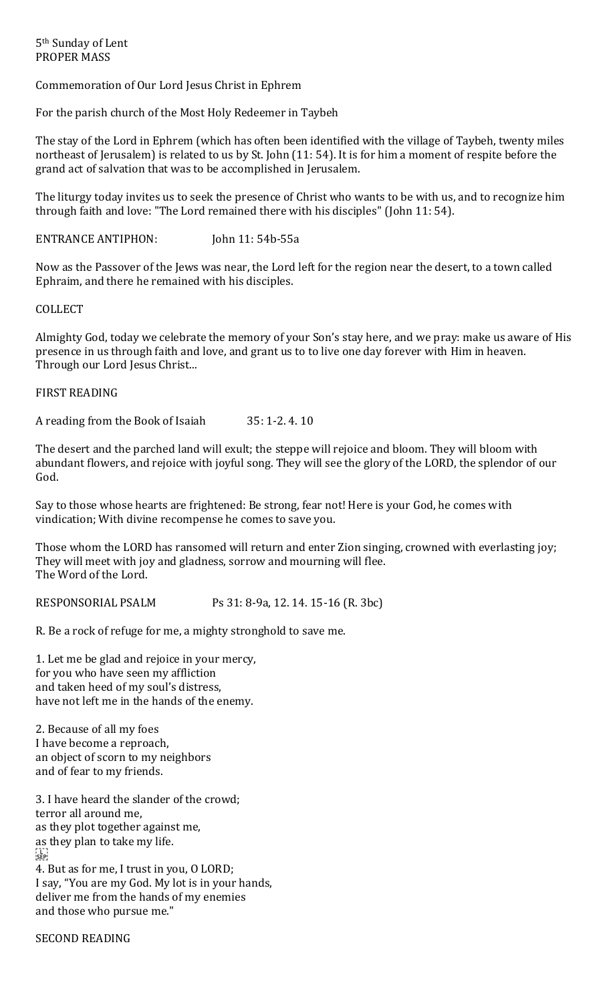Commemoration of Our Lord Jesus Christ in Ephrem

For the parish church of the Most Holy Redeemer in Taybeh

The stay of the Lord in Ephrem (which has often been identified with the village of Taybeh, twenty miles northeast of Jerusalem) is related to us by St. John (11: 54). It is for him a moment of respite before the grand act of salvation that was to be accomplished in Jerusalem.

The liturgy today invites us to seek the presence of Christ who wants to be with us, and to recognize him through faith and love: "The Lord remained there with his disciples" (John 11: 54).

ENTRANCE ANTIPHON: John 11: 54b-55a

Now as the Passover of the Jews was near, the Lord left for the region near the desert, to a town called Ephraim, and there he remained with his disciples.

COLLECT

Almighty God, today we celebrate the memory of your Son's stay here, and we pray: make us aware of His presence in us through faith and love, and grant us to to live one day forever with Him in heaven. Through our Lord Jesus Christ...

#### FIRST READING

A reading from the Book of Isaiah 35: 1-2. 4. 10

The desert and the parched land will exult; the steppe will rejoice and bloom. They will bloom with abundant flowers, and rejoice with joyful song. They will see the glory of the LORD, the splendor of our God.

Say to those whose hearts are frightened: Be strong, fear not! Here is your God, he comes with vindication; With divine recompense he comes to save you.

Those whom the LORD has ransomed will return and enter Zion singing, crowned with everlasting joy; They will meet with joy and gladness, sorrow and mourning will flee. The Word of the Lord.

RESPONSORIAL PSALM Ps 31: 8-9a, 12. 14. 15-16 (R. 3bc)

R. Be a rock of refuge for me, a mighty stronghold to save me.

1. Let me be glad and rejoice in your mercy, for you who have seen my affliction and taken heed of my soul's distress, have not left me in the hands of the enemy.

2. Because of all my foes I have become a reproach, an object of scorn to my neighbors and of fear to my friends.

3. I have heard the slander of the crowd; terror all around me, as they plot together against me, as they plan to take my life. FT<br>SEP 4. But as for me, I trust in you, O LORD; I say, "You are my God. My lot is in your hands, deliver me from the hands of my enemies

SECOND READING

and those who pursue me."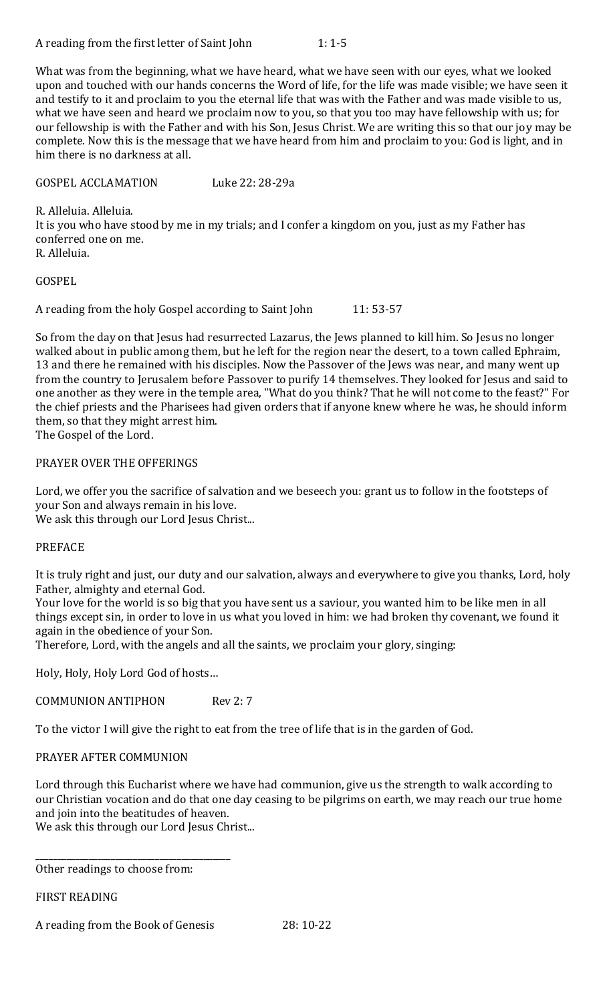What was from the beginning, what we have heard, what we have seen with our eyes, what we looked upon and touched with our hands concerns the Word of life, for the life was made visible; we have seen it and testify to it and proclaim to you the eternal life that was with the Father and was made visible to us, what we have seen and heard we proclaim now to you, so that you too may have fellowship with us; for our fellowship is with the Father and with his Son, Jesus Christ. We are writing this so that our joy may be complete. Now this is the message that we have heard from him and proclaim to you: God is light, and in him there is no darkness at all.

GOSPEL ACCLAMATION Luke 22: 28-29a

R. Alleluia. Alleluia. It is you who have stood by me in my trials; and I confer a kingdom on you, just as my Father has conferred one on me. R. Alleluia.

GOSPEL

A reading from the holy Gospel according to Saint John 11: 53-57

So from the day on that Jesus had resurrected Lazarus, the Jews planned to kill him. So Jesus no longer walked about in public among them, but he left for the region near the desert, to a town called Ephraim, 13 and there he remained with his disciples. Now the Passover of the Jews was near, and many went up from the country to Jerusalem before Passover to purify 14 themselves. They looked for Jesus and said to one another as they were in the temple area, "What do you think? That he will not come to the feast?" For the chief priests and the Pharisees had given orders that if anyone knew where he was, he should inform them, so that they might arrest him.

The Gospel of the Lord.

# PRAYER OVER THE OFFERINGS

Lord, we offer you the sacrifice of salvation and we beseech you: grant us to follow in the footsteps of your Son and always remain in his love.

We ask this through our Lord Jesus Christ...

# PREFACE

It is truly right and just, our duty and our salvation, always and everywhere to give you thanks, Lord, holy Father, almighty and eternal God.

Your love for the world is so big that you have sent us a saviour, you wanted him to be like men in all things except sin, in order to love in us what you loved in him: we had broken thy covenant, we found it again in the obedience of your Son.

Therefore, Lord, with the angels and all the saints, we proclaim your glory, singing:

Holy, Holy, Holy Lord God of hosts…

COMMUNION ANTIPHON Rev 2: 7

To the victor I will give the right to eat from the tree of life that is in the garden of God.

## PRAYER AFTER COMMUNION

Lord through this Eucharist where we have had communion, give us the strength to walk according to our Christian vocation and do that one day ceasing to be pilgrims on earth, we may reach our true home and join into the beatitudes of heaven.

We ask this through our Lord Jesus Christ...

Other readings to choose from:

\_\_\_\_\_\_\_\_\_\_\_\_\_\_\_\_\_\_\_\_\_\_\_\_\_\_\_\_\_\_\_\_\_\_\_\_\_\_\_\_\_\_\_\_

FIRST READING

A reading from the Book of Genesis 28: 10-22